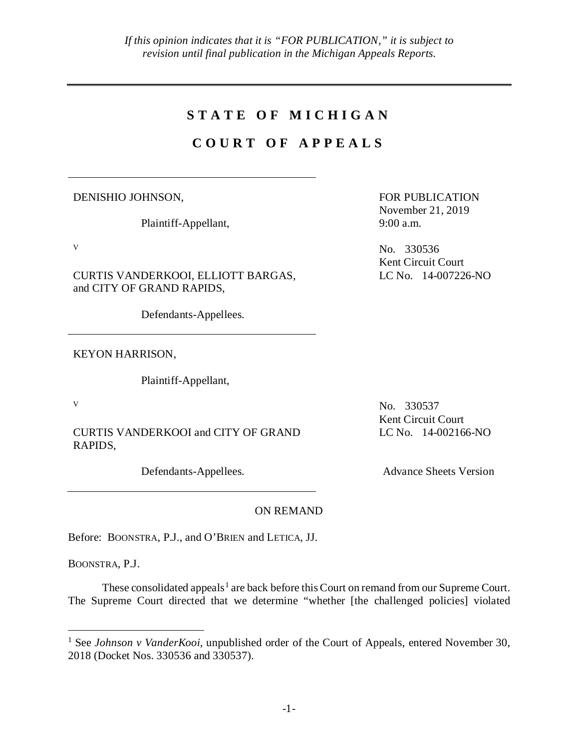## **STATE OF MICHIGAN**

# **COURT OF APPEALS**

DENISHIO JOHNSON,

Plaintiff-Appellant,

CURTIS VANDERKOOI, ELLIOTT BARGAS, and CITY OF GRAND RAPIDS,

Defendants-Appellees.

KEYON HARRISON,

Plaintiff-Appellant,

CURTIS VANDERKOOI and CITY OF GRAND RAPIDS,

FOR PUBLICATION November 21, 2019 9:00 a.m.

v No. 330536 Kent Circuit Court LC No. 14-007226-NO

v No. 330537 Kent Circuit Court LC No. 14-002166-NO

Defendants-Appellees. Advance Sheets Version

## ON REMAND

Before: BOONSTRA, P.J., and O'BRIEN and LETICA, JJ.

BOONSTRA, P.J.

These consolidated appeals<sup>[1](#page-0-0)</sup> are back before this Court on remand from our Supreme Court. The Supreme Court directed that we determine "whether [the challenged policies] violated

<span id="page-0-0"></span><sup>&</sup>lt;sup>1</sup> See *Johnson v VanderKooi*, unpublished order of the Court of Appeals, entered November 30, 2018 (Docket Nos. 330536 and 330537).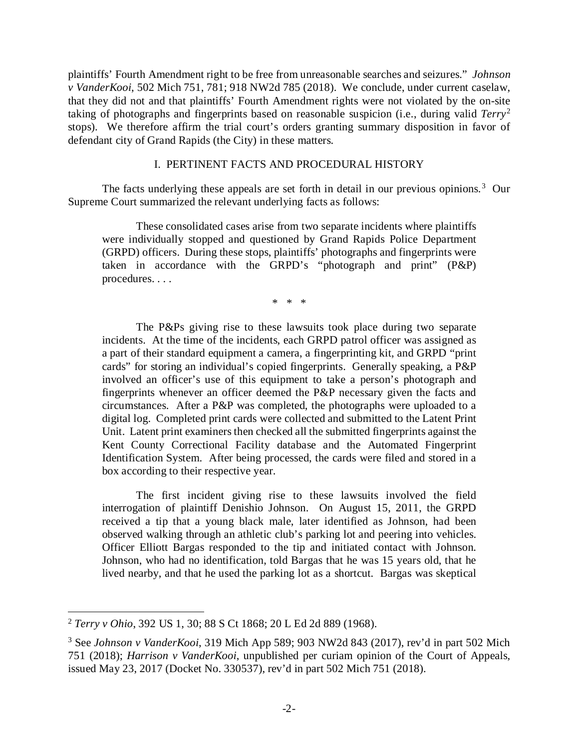plaintiffs' Fourth Amendment right to be free from unreasonable searches and seizures." *Johnson v VanderKooi*, 502 Mich 751, 781; 918 NW2d 785 (2018). We conclude, under current caselaw, that they did not and that plaintiffs' Fourth Amendment rights were not violated by the on-site taking of photographs and fingerprints based on reasonable suspicion (i.e., during valid *Terry*[2](#page-1-0) stops). We therefore affirm the trial court's orders granting summary disposition in favor of defendant city of Grand Rapids (the City) in these matters.

#### I. PERTINENT FACTS AND PROCEDURAL HISTORY

The facts underlying these appeals are set forth in detail in our previous opinions.<sup>[3](#page-1-1)</sup> Our Supreme Court summarized the relevant underlying facts as follows:

These consolidated cases arise from two separate incidents where plaintiffs were individually stopped and questioned by Grand Rapids Police Department (GRPD) officers. During these stops, plaintiffs' photographs and fingerprints were taken in accordance with the GRPD's "photograph and print" (P&P) procedures. . . .

\* \* \*

The P&Ps giving rise to these lawsuits took place during two separate incidents. At the time of the incidents, each GRPD patrol officer was assigned as a part of their standard equipment a camera, a fingerprinting kit, and GRPD "print cards" for storing an individual's copied fingerprints. Generally speaking, a P&P involved an officer's use of this equipment to take a person's photograph and fingerprints whenever an officer deemed the P&P necessary given the facts and circumstances. After a P&P was completed, the photographs were uploaded to a digital log. Completed print cards were collected and submitted to the Latent Print Unit. Latent print examiners then checked all the submitted fingerprints against the Kent County Correctional Facility database and the Automated Fingerprint Identification System. After being processed, the cards were filed and stored in a box according to their respective year.

The first incident giving rise to these lawsuits involved the field interrogation of plaintiff Denishio Johnson. On August 15, 2011, the GRPD received a tip that a young black male, later identified as Johnson, had been observed walking through an athletic club's parking lot and peering into vehicles. Officer Elliott Bargas responded to the tip and initiated contact with Johnson. Johnson, who had no identification, told Bargas that he was 15 years old, that he lived nearby, and that he used the parking lot as a shortcut. Bargas was skeptical

<span id="page-1-0"></span> <sup>2</sup> *Terry v Ohio*, 392 US 1, 30; 88 S Ct 1868; 20 L Ed 2d 889 (1968).

<span id="page-1-1"></span><sup>3</sup> See *Johnson v VanderKooi*, 319 Mich App 589; 903 NW2d 843 (2017), rev'd in part 502 Mich 751 (2018); *Harrison v VanderKooi*, unpublished per curiam opinion of the Court of Appeals, issued May 23, 2017 (Docket No. 330537), rev'd in part 502 Mich 751 (2018).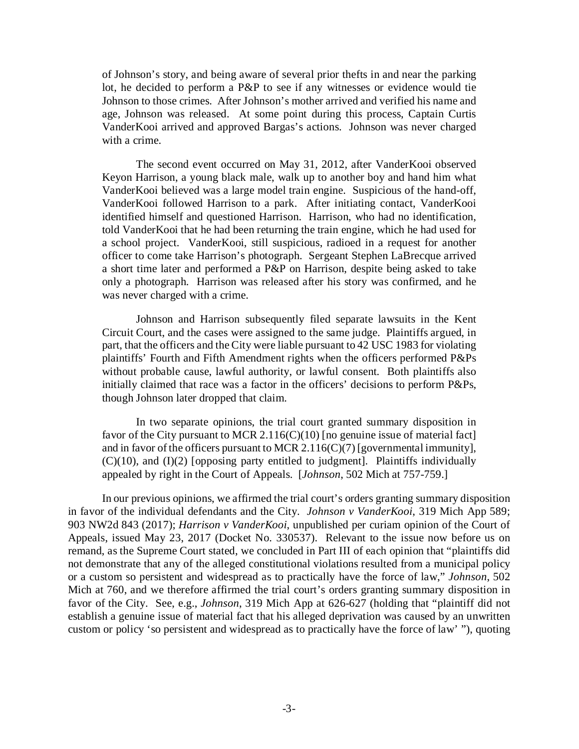of Johnson's story, and being aware of several prior thefts in and near the parking lot, he decided to perform a P&P to see if any witnesses or evidence would tie Johnson to those crimes. After Johnson's mother arrived and verified his name and age, Johnson was released. At some point during this process, Captain Curtis VanderKooi arrived and approved Bargas's actions. Johnson was never charged with a crime.

The second event occurred on May 31, 2012, after VanderKooi observed Keyon Harrison, a young black male, walk up to another boy and hand him what VanderKooi believed was a large model train engine. Suspicious of the hand-off, VanderKooi followed Harrison to a park. After initiating contact, VanderKooi identified himself and questioned Harrison. Harrison, who had no identification, told VanderKooi that he had been returning the train engine, which he had used for a school project. VanderKooi, still suspicious, radioed in a request for another officer to come take Harrison's photograph. Sergeant Stephen LaBrecque arrived a short time later and performed a P&P on Harrison, despite being asked to take only a photograph. Harrison was released after his story was confirmed, and he was never charged with a crime.

Johnson and Harrison subsequently filed separate lawsuits in the Kent Circuit Court, and the cases were assigned to the same judge. Plaintiffs argued, in part, that the officers and the City were liable pursuant to 42 USC 1983 for violating plaintiffs' Fourth and Fifth Amendment rights when the officers performed P&Ps without probable cause, lawful authority, or lawful consent. Both plaintiffs also initially claimed that race was a factor in the officers' decisions to perform P&Ps, though Johnson later dropped that claim.

In two separate opinions, the trial court granted summary disposition in favor of the City pursuant to MCR 2.116(C)(10) [no genuine issue of material fact] and in favor of the officers pursuant to MCR 2.116(C)(7) [governmental immunity],  $(C)(10)$ , and  $(I)(2)$  [opposing party entitled to judgment]. Plaintiffs individually appealed by right in the Court of Appeals. [*Johnson*, 502 Mich at 757-759.]

In our previous opinions, we affirmed the trial court's orders granting summary disposition in favor of the individual defendants and the City. *Johnson v VanderKooi*, 319 Mich App 589; 903 NW2d 843 (2017); *Harrison v VanderKooi*, unpublished per curiam opinion of the Court of Appeals, issued May 23, 2017 (Docket No. 330537). Relevant to the issue now before us on remand, as the Supreme Court stated, we concluded in Part III of each opinion that "plaintiffs did not demonstrate that any of the alleged constitutional violations resulted from a municipal policy or a custom so persistent and widespread as to practically have the force of law," *Johnson*, 502 Mich at 760, and we therefore affirmed the trial court's orders granting summary disposition in favor of the City. See, e.g., *Johnson*, 319 Mich App at 626-627 (holding that "plaintiff did not establish a genuine issue of material fact that his alleged deprivation was caused by an unwritten custom or policy 'so persistent and widespread as to practically have the force of law' "), quoting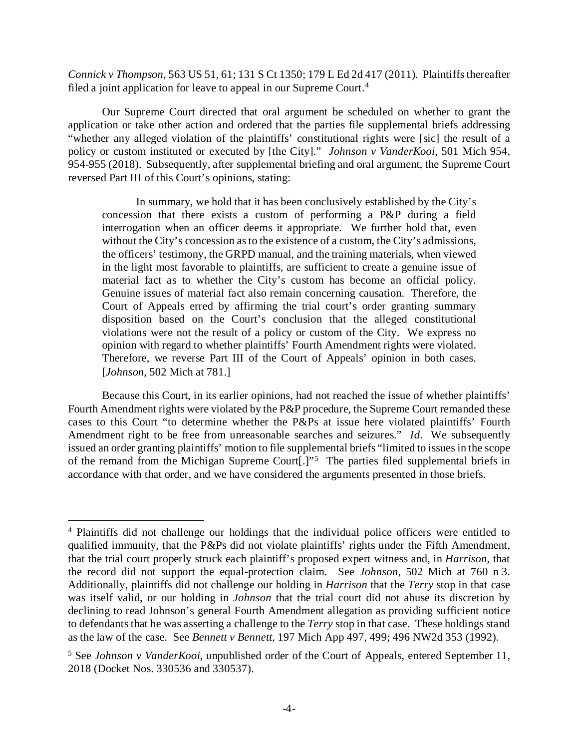*Connick v Thompson*, 563 US 51, 61; 131 S Ct 1350; 179 L Ed 2d 417 (2011). Plaintiffs thereafter filed a joint application for leave to appeal in our Supreme Court.<sup>[4](#page-3-0)</sup>

Our Supreme Court directed that oral argument be scheduled on whether to grant the application or take other action and ordered that the parties file supplemental briefs addressing "whether any alleged violation of the plaintiffs' constitutional rights were [sic] the result of a policy or custom instituted or executed by [the City]." *Johnson v VanderKooi*, 501 Mich 954, 954-955 (2018). Subsequently, after supplemental briefing and oral argument, the Supreme Court reversed Part III of this Court's opinions, stating:

In summary, we hold that it has been conclusively established by the City's concession that there exists a custom of performing a P&P during a field interrogation when an officer deems it appropriate. We further hold that, even without the City's concession as to the existence of a custom, the City's admissions, the officers' testimony, the GRPD manual, and the training materials, when viewed in the light most favorable to plaintiffs, are sufficient to create a genuine issue of material fact as to whether the City's custom has become an official policy. Genuine issues of material fact also remain concerning causation. Therefore, the Court of Appeals erred by affirming the trial court's order granting summary disposition based on the Court's conclusion that the alleged constitutional violations were not the result of a policy or custom of the City. We express no opinion with regard to whether plaintiffs' Fourth Amendment rights were violated. Therefore, we reverse Part III of the Court of Appeals' opinion in both cases. [*Johnson*, 502 Mich at 781.]

Because this Court, in its earlier opinions, had not reached the issue of whether plaintiffs' Fourth Amendment rights were violated by the P&P procedure, the Supreme Court remanded these cases to this Court "to determine whether the P&Ps at issue here violated plaintiffs' Fourth Amendment right to be free from unreasonable searches and seizures." *Id*. We subsequently issued an order granting plaintiffs' motion to file supplemental briefs "limited to issues in the scope of the remand from the Michigan Supreme Court[.]"<sup>[5](#page-3-1)</sup> The parties filed supplemental briefs in accordance with that order, and we have considered the arguments presented in those briefs.

<span id="page-3-0"></span> <sup>4</sup> Plaintiffs did not challenge our holdings that the individual police officers were entitled to qualified immunity, that the P&Ps did not violate plaintiffs' rights under the Fifth Amendment, that the trial court properly struck each plaintiff's proposed expert witness and, in *Harrison*, that the record did not support the equal-protection claim. See *Johnson*, 502 Mich at 760 n 3. Additionally, plaintiffs did not challenge our holding in *Harrison* that the *Terry* stop in that case was itself valid, or our holding in *Johnson* that the trial court did not abuse its discretion by declining to read Johnson's general Fourth Amendment allegation as providing sufficient notice to defendants that he was asserting a challenge to the *Terry* stop in that case. These holdings stand as the law of the case. See *Bennett v Bennett*, 197 Mich App 497, 499; 496 NW2d 353 (1992).

<span id="page-3-1"></span><sup>&</sup>lt;sup>5</sup> See *Johnson v VanderKooi*, unpublished order of the Court of Appeals, entered September 11, 2018 (Docket Nos. 330536 and 330537).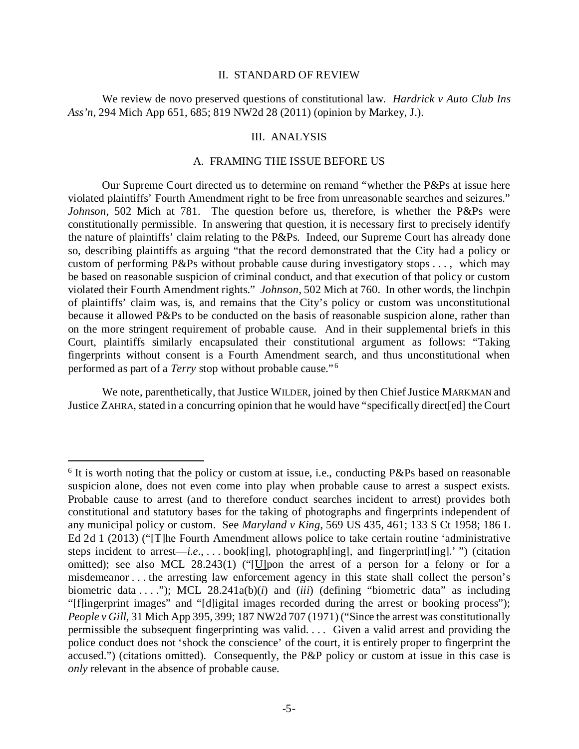#### II. STANDARD OF REVIEW

We review de novo preserved questions of constitutional law. *Hardrick v Auto Club Ins Ass'n*, 294 Mich App 651, 685; 819 NW2d 28 (2011) (opinion by Markey, J.).

#### III. ANALYSIS

## A. FRAMING THE ISSUE BEFORE US

Our Supreme Court directed us to determine on remand "whether the P&Ps at issue here violated plaintiffs' Fourth Amendment right to be free from unreasonable searches and seizures." *Johnson*, 502 Mich at 781. The question before us, therefore, is whether the P&Ps were constitutionally permissible. In answering that question, it is necessary first to precisely identify the nature of plaintiffs' claim relating to the P&Ps. Indeed, our Supreme Court has already done so, describing plaintiffs as arguing "that the record demonstrated that the City had a policy or custom of performing P&Ps without probable cause during investigatory stops . . . , which may be based on reasonable suspicion of criminal conduct, and that execution of that policy or custom violated their Fourth Amendment rights." *Johnson*, 502 Mich at 760. In other words, the linchpin of plaintiffs' claim was, is, and remains that the City's policy or custom was unconstitutional because it allowed P&Ps to be conducted on the basis of reasonable suspicion alone, rather than on the more stringent requirement of probable cause. And in their supplemental briefs in this Court, plaintiffs similarly encapsulated their constitutional argument as follows: "Taking fingerprints without consent is a Fourth Amendment search, and thus unconstitutional when performed as part of a *Terry* stop without probable cause." [6](#page-4-0)

We note, parenthetically, that Justice WILDER, joined by then Chief Justice MARKMAN and Justice ZAHRA, stated in a concurring opinion that he would have "specifically direct[ed] the Court

<span id="page-4-0"></span><sup>&</sup>lt;sup>6</sup> It is worth noting that the policy or custom at issue, i.e., conducting P&Ps based on reasonable suspicion alone, does not even come into play when probable cause to arrest a suspect exists. Probable cause to arrest (and to therefore conduct searches incident to arrest) provides both constitutional and statutory bases for the taking of photographs and fingerprints independent of any municipal policy or custom. See *Maryland v King*, 569 US 435, 461; 133 S Ct 1958; 186 L Ed 2d 1 (2013) ("[T]he Fourth Amendment allows police to take certain routine 'administrative steps incident to arrest—*i*.*e*., . . . book[ing], photograph[ing], and fingerprint[ing].' ") (citation omitted); see also MCL 28.243(1) ("[U]pon the arrest of a person for a felony or for a misdemeanor . . . the arresting law enforcement agency in this state shall collect the person's biometric data . . . ."); MCL 28.241a(b)(*i*) and (*iii*) (defining "biometric data" as including "[f]ingerprint images" and "[d]igital images recorded during the arrest or booking process"); *People v Gill*, 31 Mich App 395, 399; 187 NW2d 707 (1971) ("Since the arrest was constitutionally permissible the subsequent fingerprinting was valid. . . . Given a valid arrest and providing the police conduct does not 'shock the conscience' of the court, it is entirely proper to fingerprint the accused.") (citations omitted). Consequently, the P&P policy or custom at issue in this case is *only* relevant in the absence of probable cause.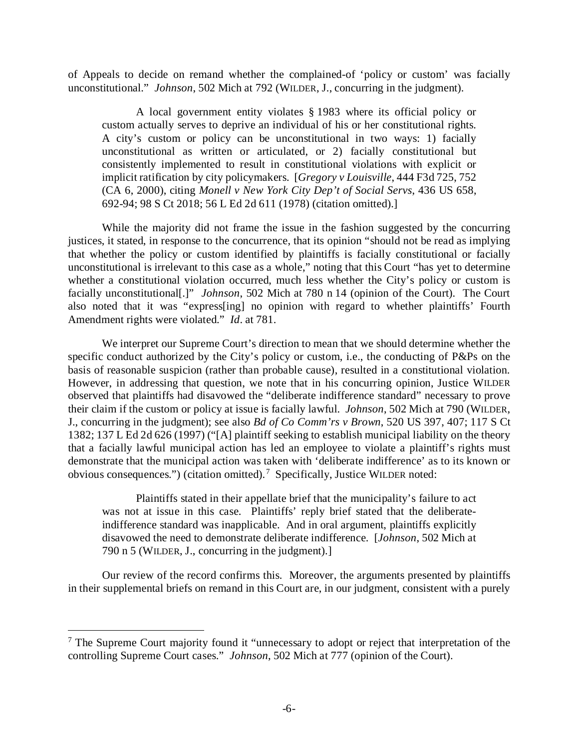of Appeals to decide on remand whether the complained-of 'policy or custom' was facially unconstitutional." *Johnson*, 502 Mich at 792 (WILDER, J., concurring in the judgment).

A local government entity violates § 1983 where its official policy or custom actually serves to deprive an individual of his or her constitutional rights. A city's custom or policy can be unconstitutional in two ways: 1) facially unconstitutional as written or articulated, or 2) facially constitutional but consistently implemented to result in constitutional violations with explicit or implicit ratification by city policymakers. [*Gregory v Louisville*, 444 F3d 725, 752 (CA 6, 2000), citing *Monell v New York City Dep't of Social Servs*, 436 US 658, 692-94; 98 S Ct 2018; 56 L Ed 2d 611 (1978) (citation omitted).]

While the majority did not frame the issue in the fashion suggested by the concurring justices, it stated, in response to the concurrence, that its opinion "should not be read as implying that whether the policy or custom identified by plaintiffs is facially constitutional or facially unconstitutional is irrelevant to this case as a whole," noting that this Court "has yet to determine whether a constitutional violation occurred, much less whether the City's policy or custom is facially unconstitutional[.]" *Johnson*, 502 Mich at 780 n 14 (opinion of the Court). The Court also noted that it was "express[ing] no opinion with regard to whether plaintiffs' Fourth Amendment rights were violated." *Id*. at 781.

We interpret our Supreme Court's direction to mean that we should determine whether the specific conduct authorized by the City's policy or custom, i.e., the conducting of P&Ps on the basis of reasonable suspicion (rather than probable cause), resulted in a constitutional violation. However, in addressing that question, we note that in his concurring opinion, Justice WILDER observed that plaintiffs had disavowed the "deliberate indifference standard" necessary to prove their claim if the custom or policy at issue is facially lawful. *Johnson*, 502 Mich at 790 (WILDER, J., concurring in the judgment); see also *Bd of Co Comm'rs v Brown*, 520 US 397, 407; 117 S Ct 1382; 137 L Ed 2d 626 (1997) ("[A] plaintiff seeking to establish municipal liability on the theory that a facially lawful municipal action has led an employee to violate a plaintiff's rights must demonstrate that the municipal action was taken with 'deliberate indifference' as to its known or obvious consequences.") (citation omitted). [7](#page-5-0) Specifically, Justice WILDER noted:

Plaintiffs stated in their appellate brief that the municipality's failure to act was not at issue in this case. Plaintiffs' reply brief stated that the deliberateindifference standard was inapplicable. And in oral argument, plaintiffs explicitly disavowed the need to demonstrate deliberate indifference. [*Johnson*, 502 Mich at 790 n 5 (WILDER, J., concurring in the judgment).]

Our review of the record confirms this. Moreover, the arguments presented by plaintiffs in their supplemental briefs on remand in this Court are, in our judgment, consistent with a purely

<span id="page-5-0"></span><sup>&</sup>lt;sup>7</sup> The Supreme Court majority found it "unnecessary to adopt or reject that interpretation of the controlling Supreme Court cases." *Johnson*, 502 Mich at 777 (opinion of the Court).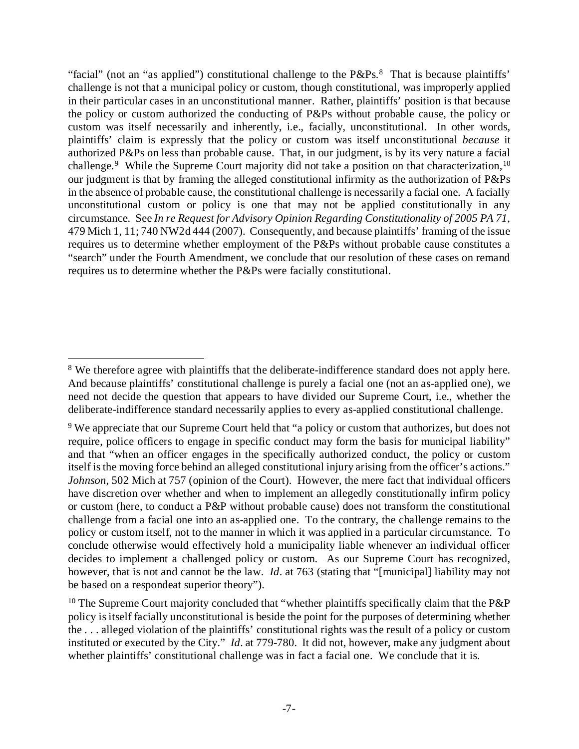"facial" (not an "as applied") constitutional challenge to the  $P\&Ps$ <sup>[8](#page-6-0)</sup>. That is because plaintiffs' challenge is not that a municipal policy or custom, though constitutional, was improperly applied in their particular cases in an unconstitutional manner. Rather, plaintiffs' position is that because the policy or custom authorized the conducting of P&Ps without probable cause, the policy or custom was itself necessarily and inherently, i.e., facially, unconstitutional. In other words, plaintiffs' claim is expressly that the policy or custom was itself unconstitutional *because* it authorized P&Ps on less than probable cause. That, in our judgment, is by its very nature a facial challenge.<sup>[9](#page-6-1)</sup> While the Supreme Court majority did not take a position on that characterization, <sup>[10](#page-6-2)</sup> our judgment is that by framing the alleged constitutional infirmity as the authorization of P&Ps in the absence of probable cause, the constitutional challenge is necessarily a facial one. A facially unconstitutional custom or policy is one that may not be applied constitutionally in any circumstance. See *In re Request for Advisory Opinion Regarding Constitutionality of 2005 PA 71*, 479 Mich 1, 11; 740 NW2d 444 (2007). Consequently, and because plaintiffs' framing of the issue requires us to determine whether employment of the P&Ps without probable cause constitutes a "search" under the Fourth Amendment, we conclude that our resolution of these cases on remand requires us to determine whether the P&Ps were facially constitutional.

<span id="page-6-0"></span><sup>&</sup>lt;sup>8</sup> We therefore agree with plaintiffs that the deliberate-indifference standard does not apply here. And because plaintiffs' constitutional challenge is purely a facial one (not an as-applied one), we need not decide the question that appears to have divided our Supreme Court, i.e., whether the deliberate-indifference standard necessarily applies to every as-applied constitutional challenge.

<span id="page-6-1"></span><sup>&</sup>lt;sup>9</sup> We appreciate that our Supreme Court held that "a policy or custom that authorizes, but does not require, police officers to engage in specific conduct may form the basis for municipal liability" and that "when an officer engages in the specifically authorized conduct, the policy or custom itself is the moving force behind an alleged constitutional injury arising from the officer's actions." *Johnson*, 502 Mich at 757 (opinion of the Court). However, the mere fact that individual officers have discretion over whether and when to implement an allegedly constitutionally infirm policy or custom (here, to conduct a P&P without probable cause) does not transform the constitutional challenge from a facial one into an as-applied one. To the contrary, the challenge remains to the policy or custom itself, not to the manner in which it was applied in a particular circumstance. To conclude otherwise would effectively hold a municipality liable whenever an individual officer decides to implement a challenged policy or custom. As our Supreme Court has recognized, however, that is not and cannot be the law. *Id*. at 763 (stating that "[municipal] liability may not be based on a respondeat superior theory").

<span id="page-6-2"></span><sup>&</sup>lt;sup>10</sup> The Supreme Court majority concluded that "whether plaintiffs specifically claim that the P&P policy is itself facially unconstitutional is beside the point for the purposes of determining whether the . . . alleged violation of the plaintiffs' constitutional rights was the result of a policy or custom instituted or executed by the City." *Id*. at 779-780. It did not, however, make any judgment about whether plaintiffs' constitutional challenge was in fact a facial one. We conclude that it is.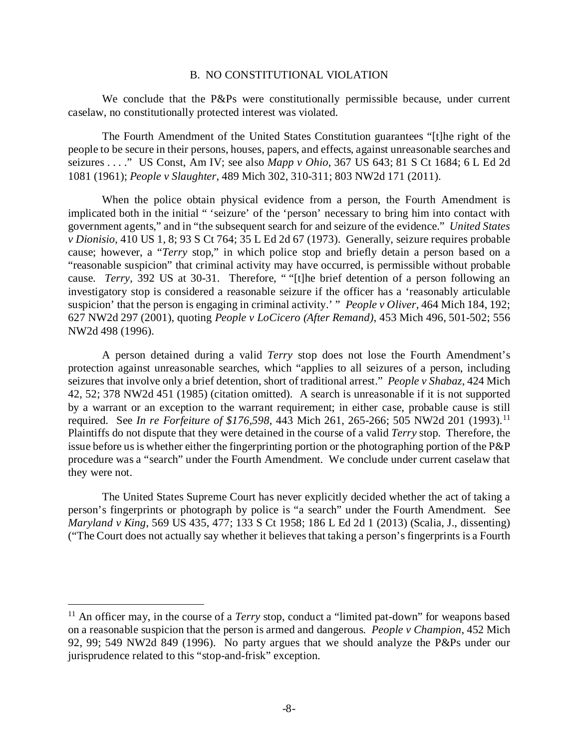#### B. NO CONSTITUTIONAL VIOLATION

We conclude that the P&Ps were constitutionally permissible because, under current caselaw, no constitutionally protected interest was violated.

The Fourth Amendment of the United States Constitution guarantees "[t]he right of the people to be secure in their persons, houses, papers, and effects, against unreasonable searches and seizures . . . ." US Const, Am IV; see also *Mapp v Ohio*, 367 US 643; 81 S Ct 1684; 6 L Ed 2d 1081 (1961); *People v Slaughter*, 489 Mich 302, 310-311; 803 NW2d 171 (2011).

When the police obtain physical evidence from a person, the Fourth Amendment is implicated both in the initial " 'seizure' of the 'person' necessary to bring him into contact with government agents," and in "the subsequent search for and seizure of the evidence." *United States v Dionisio*, 410 US 1, 8; 93 S Ct 764; 35 L Ed 2d 67 (1973). Generally, seizure requires probable cause; however, a "*Terry* stop," in which police stop and briefly detain a person based on a "reasonable suspicion" that criminal activity may have occurred, is permissible without probable cause. *Terry*, 392 US at 30-31. Therefore, " "[t]he brief detention of a person following an investigatory stop is considered a reasonable seizure if the officer has a 'reasonably articulable suspicion' that the person is engaging in criminal activity.' " *People v Oliver*, 464 Mich 184, 192; 627 NW2d 297 (2001), quoting *People v LoCicero (After Remand)*, 453 Mich 496, 501-502; 556 NW2d 498 (1996).

A person detained during a valid *Terry* stop does not lose the Fourth Amendment's protection against unreasonable searches, which "applies to all seizures of a person, including seizures that involve only a brief detention, short of traditional arrest." *People v Shabaz*, 424 Mich 42, 52; 378 NW2d 451 (1985) (citation omitted). A search is unreasonable if it is not supported by a warrant or an exception to the warrant requirement; in either case, probable cause is still required. See *In re Forfeiture of \$176,598*, 443 Mich 261, 265-266; 505 NW2d 201 (1993).[11](#page-7-0) Plaintiffs do not dispute that they were detained in the course of a valid *Terry* stop. Therefore, the issue before us is whether either the fingerprinting portion or the photographing portion of the P&P procedure was a "search" under the Fourth Amendment. We conclude under current caselaw that they were not.

The United States Supreme Court has never explicitly decided whether the act of taking a person's fingerprints or photograph by police is "a search" under the Fourth Amendment. See *Maryland v King*, 569 US 435, 477; 133 S Ct 1958; 186 L Ed 2d 1 (2013) (Scalia, J., dissenting) ("The Court does not actually say whether it believes that taking a person's fingerprints is a Fourth

<span id="page-7-0"></span> <sup>11</sup> An officer may, in the course of a *Terry* stop, conduct a "limited pat-down" for weapons based on a reasonable suspicion that the person is armed and dangerous. *People v Champion*, 452 Mich 92, 99; 549 NW2d 849 (1996). No party argues that we should analyze the P&Ps under our jurisprudence related to this "stop-and-frisk" exception.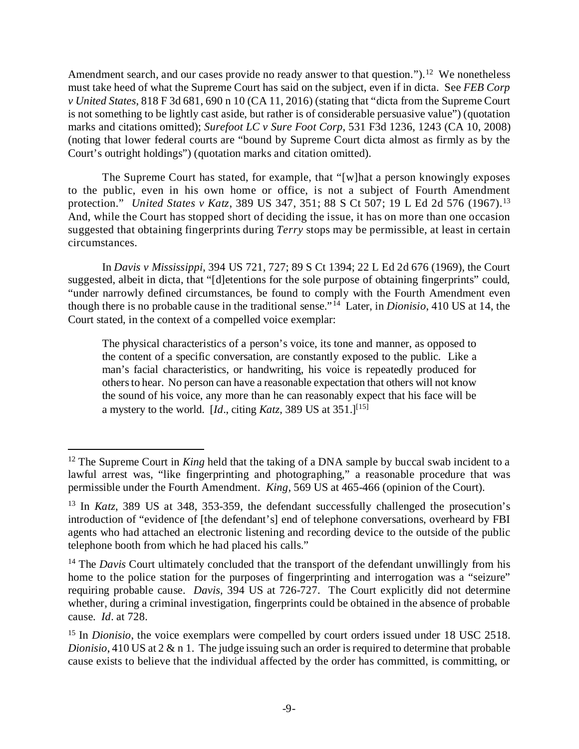Amendment search, and our cases provide no ready answer to that question.").<sup>[12](#page-8-0)</sup> We nonetheless must take heed of what the Supreme Court has said on the subject, even if in dicta. See *FEB Corp v United States*, 818 F 3d 681, 690 n 10 (CA 11, 2016) (stating that "dicta from the Supreme Court is not something to be lightly cast aside, but rather is of considerable persuasive value") (quotation marks and citations omitted); *Surefoot LC v Sure Foot Corp*, 531 F3d 1236, 1243 (CA 10, 2008) (noting that lower federal courts are "bound by Supreme Court dicta almost as firmly as by the Court's outright holdings") (quotation marks and citation omitted).

The Supreme Court has stated, for example, that "[w]hat a person knowingly exposes to the public, even in his own home or office, is not a subject of Fourth Amendment protection." *United States v Katz*, 389 US 347, 351; 88 S Ct 507; 19 L Ed 2d 576 (1967).<sup>[13](#page-8-1)</sup> And, while the Court has stopped short of deciding the issue, it has on more than one occasion suggested that obtaining fingerprints during *Terry* stops may be permissible, at least in certain circumstances.

In *Davis v Mississippi*, 394 US 721, 727; 89 S Ct 1394; 22 L Ed 2d 676 (1969), the Court suggested, albeit in dicta, that "[d]etentions for the sole purpose of obtaining fingerprints" could, "under narrowly defined circumstances, be found to comply with the Fourth Amendment even though there is no probable cause in the traditional sense."[14](#page-8-2) Later, in *Dionisio*, 410 US at 14, the Court stated, in the context of a compelled voice exemplar:

The physical characteristics of a person's voice, its tone and manner, as opposed to the content of a specific conversation, are constantly exposed to the public. Like a man's facial characteristics, or handwriting, his voice is repeatedly produced for others to hear. No person can have a reasonable expectation that others will not know the sound of his voice, any more than he can reasonably expect that his face will be a mystery to the world. [*Id.*, citing *Katz*, 389 US at  $351$ .]<sup>[\[15](#page-8-3)]</sup>

<span id="page-8-0"></span><sup>&</sup>lt;sup>12</sup> The Supreme Court in *King* held that the taking of a DNA sample by buccal swab incident to a lawful arrest was, "like fingerprinting and photographing," a reasonable procedure that was permissible under the Fourth Amendment. *King*, 569 US at 465-466 (opinion of the Court).

<span id="page-8-1"></span><sup>13</sup> In *Katz*, 389 US at 348, 353-359, the defendant successfully challenged the prosecution's introduction of "evidence of [the defendant's] end of telephone conversations, overheard by FBI agents who had attached an electronic listening and recording device to the outside of the public telephone booth from which he had placed his calls."

<span id="page-8-2"></span><sup>&</sup>lt;sup>14</sup> The *Davis* Court ultimately concluded that the transport of the defendant unwillingly from his home to the police station for the purposes of fingerprinting and interrogation was a "seizure" requiring probable cause. *Davis*, 394 US at 726-727. The Court explicitly did not determine whether, during a criminal investigation, fingerprints could be obtained in the absence of probable cause. *Id*. at 728.

<span id="page-8-3"></span><sup>&</sup>lt;sup>15</sup> In *Dionisio*, the voice exemplars were compelled by court orders issued under 18 USC 2518. *Dionisio*, 410 US at 2 & n 1. The judge issuing such an order is required to determine that probable cause exists to believe that the individual affected by the order has committed, is committing, or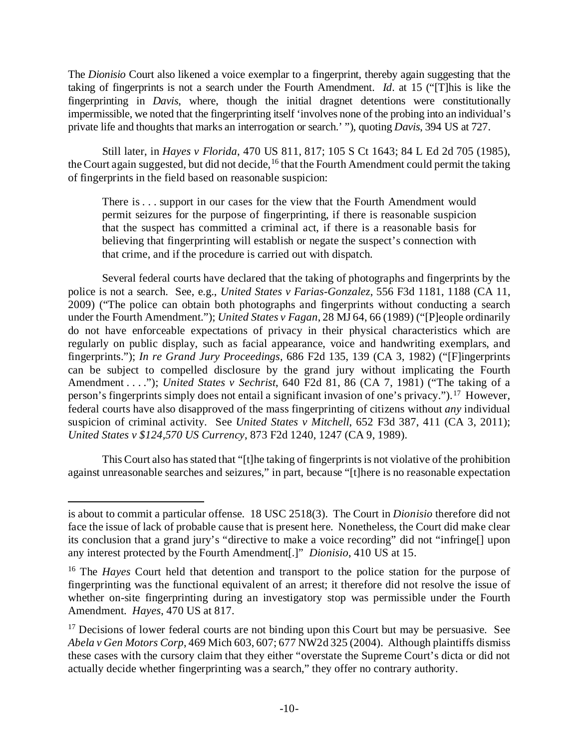The *Dionisio* Court also likened a voice exemplar to a fingerprint, thereby again suggesting that the taking of fingerprints is not a search under the Fourth Amendment. *Id*. at 15 ("[T]his is like the fingerprinting in *Davis*, where, though the initial dragnet detentions were constitutionally impermissible, we noted that the fingerprinting itself 'involves none of the probing into an individual's private life and thoughts that marks an interrogation or search.' "), quoting *Davis*, 394 US at 727.

Still later, in *Hayes v Florida*, 470 US 811, 817; 105 S Ct 1643; 84 L Ed 2d 705 (1985), the Court again suggested, but did not decide, <sup>[16](#page-9-0)</sup> that the Fourth Amendment could permit the taking of fingerprints in the field based on reasonable suspicion:

There is . . . support in our cases for the view that the Fourth Amendment would permit seizures for the purpose of fingerprinting, if there is reasonable suspicion that the suspect has committed a criminal act, if there is a reasonable basis for believing that fingerprinting will establish or negate the suspect's connection with that crime, and if the procedure is carried out with dispatch.

Several federal courts have declared that the taking of photographs and fingerprints by the police is not a search. See, e.g., *United States v Farias-Gonzalez*, 556 F3d 1181, 1188 (CA 11, 2009) ("The police can obtain both photographs and fingerprints without conducting a search under the Fourth Amendment."); *United States v Fagan*, 28 MJ 64, 66 (1989) ("[P]eople ordinarily do not have enforceable expectations of privacy in their physical characteristics which are regularly on public display, such as facial appearance, voice and handwriting exemplars, and fingerprints."); *In re Grand Jury Proceedings*, 686 F2d 135, 139 (CA 3, 1982) ("[F]ingerprints can be subject to compelled disclosure by the grand jury without implicating the Fourth Amendment . . . ."); *United States v Sechrist*, 640 F2d 81, 86 (CA 7, 1981) ("The taking of a person's fingerprints simply does not entail a significant invasion of one's privacy.").[17](#page-9-1) However, federal courts have also disapproved of the mass fingerprinting of citizens without *any* individual suspicion of criminal activity. See *United States v Mitchell*, 652 F3d 387, 411 (CA 3, 2011); *United States v \$124,570 US Currency*, 873 F2d 1240, 1247 (CA 9, 1989).

This Court also has stated that "[t]he taking of fingerprints is not violative of the prohibition against unreasonable searches and seizures," in part, because "[t]here is no reasonable expectation

 $\overline{a}$ 

is about to commit a particular offense. 18 USC 2518(3). The Court in *Dionisio* therefore did not face the issue of lack of probable cause that is present here. Nonetheless, the Court did make clear its conclusion that a grand jury's "directive to make a voice recording" did not "infringe[] upon any interest protected by the Fourth Amendment[.]" *Dionisio*, 410 US at 15.

<span id="page-9-0"></span><sup>16</sup> The *Hayes* Court held that detention and transport to the police station for the purpose of fingerprinting was the functional equivalent of an arrest; it therefore did not resolve the issue of whether on-site fingerprinting during an investigatory stop was permissible under the Fourth Amendment. *Hayes*, 470 US at 817.

<span id="page-9-1"></span> $17$  Decisions of lower federal courts are not binding upon this Court but may be persuasive. See *Abela v Gen Motors Corp*, 469 Mich 603, 607; 677 NW2d 325 (2004). Although plaintiffs dismiss these cases with the cursory claim that they either "overstate the Supreme Court's dicta or did not actually decide whether fingerprinting was a search," they offer no contrary authority.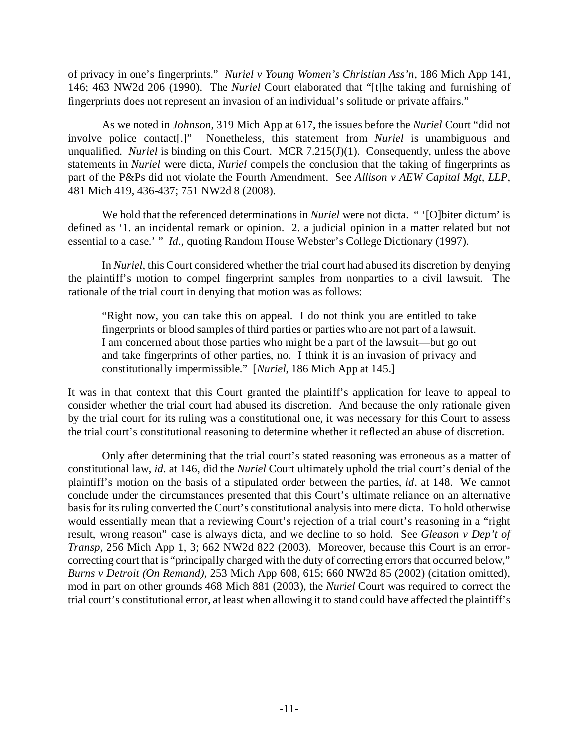of privacy in one's fingerprints." *Nuriel v Young Women's Christian Ass'n*, 186 Mich App 141, 146; 463 NW2d 206 (1990). The *Nuriel* Court elaborated that "[t]he taking and furnishing of fingerprints does not represent an invasion of an individual's solitude or private affairs."

As we noted in *Johnson*, 319 Mich App at 617, the issues before the *Nuriel* Court "did not involve police contact[.]" Nonetheless, this statement from *Nuriel* is unambiguous and unqualified. *Nuriel* is binding on this Court. MCR 7.215(J)(1). Consequently, unless the above statements in *Nuriel* were dicta, *Nuriel* compels the conclusion that the taking of fingerprints as part of the P&Ps did not violate the Fourth Amendment. See *Allison v AEW Capital Mgt, LLP*, 481 Mich 419, 436-437; 751 NW2d 8 (2008).

We hold that the referenced determinations in *Nuriel* were not dicta. " '[O]biter dictum' is defined as '1. an incidental remark or opinion. 2. a judicial opinion in a matter related but not essential to a case.' " *Id*., quoting Random House Webster's College Dictionary (1997).

In *Nuriel*, this Court considered whether the trial court had abused its discretion by denying the plaintiff's motion to compel fingerprint samples from nonparties to a civil lawsuit. The rationale of the trial court in denying that motion was as follows:

"Right now, you can take this on appeal. I do not think you are entitled to take fingerprints or blood samples of third parties or parties who are not part of a lawsuit. I am concerned about those parties who might be a part of the lawsuit—but go out and take fingerprints of other parties, no. I think it is an invasion of privacy and constitutionally impermissible." [*Nuriel*, 186 Mich App at 145.]

It was in that context that this Court granted the plaintiff's application for leave to appeal to consider whether the trial court had abused its discretion. And because the only rationale given by the trial court for its ruling was a constitutional one, it was necessary for this Court to assess the trial court's constitutional reasoning to determine whether it reflected an abuse of discretion.

Only after determining that the trial court's stated reasoning was erroneous as a matter of constitutional law, *id*. at 146, did the *Nuriel* Court ultimately uphold the trial court's denial of the plaintiff's motion on the basis of a stipulated order between the parties, *id*. at 148. We cannot conclude under the circumstances presented that this Court's ultimate reliance on an alternative basis for its ruling converted the Court's constitutional analysis into mere dicta. To hold otherwise would essentially mean that a reviewing Court's rejection of a trial court's reasoning in a "right result, wrong reason" case is always dicta, and we decline to so hold. See *Gleason v Dep't of Transp*, 256 Mich App 1, 3; 662 NW2d 822 (2003). Moreover, because this Court is an errorcorrecting court that is "principally charged with the duty of correcting errors that occurred below," *Burns v Detroit (On Remand)*, 253 Mich App 608, 615; 660 NW2d 85 (2002) (citation omitted), mod in part on other grounds 468 Mich 881 (2003), the *Nuriel* Court was required to correct the trial court's constitutional error, at least when allowing it to stand could have affected the plaintiff's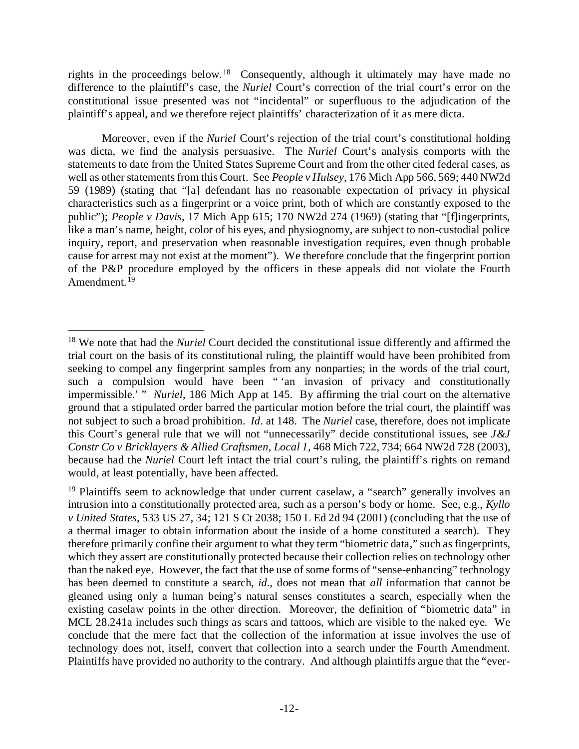rights in the proceedings below.[18](#page-11-0) Consequently, although it ultimately may have made no difference to the plaintiff's case, the *Nuriel* Court's correction of the trial court's error on the constitutional issue presented was not "incidental" or superfluous to the adjudication of the plaintiff's appeal, and we therefore reject plaintiffs' characterization of it as mere dicta.

Moreover, even if the *Nuriel* Court's rejection of the trial court's constitutional holding was dicta, we find the analysis persuasive. The *Nuriel* Court's analysis comports with the statements to date from the United States Supreme Court and from the other cited federal cases, as well as other statements from this Court. See *People v Hulsey*, 176 Mich App 566, 569; 440 NW2d 59 (1989) (stating that "[a] defendant has no reasonable expectation of privacy in physical characteristics such as a fingerprint or a voice print, both of which are constantly exposed to the public"); *People v Davis*, 17 Mich App 615; 170 NW2d 274 (1969) (stating that "[f]ingerprints, like a man's name, height, color of his eyes, and physiognomy, are subject to non-custodial police inquiry, report, and preservation when reasonable investigation requires, even though probable cause for arrest may not exist at the moment"). We therefore conclude that the fingerprint portion of the P&P procedure employed by the officers in these appeals did not violate the Fourth Amendment.<sup>[19](#page-11-1)</sup>

<span id="page-11-0"></span> <sup>18</sup> We note that had the *Nuriel* Court decided the constitutional issue differently and affirmed the trial court on the basis of its constitutional ruling, the plaintiff would have been prohibited from seeking to compel any fingerprint samples from any nonparties; in the words of the trial court, such a compulsion would have been " 'an invasion of privacy and constitutionally impermissible.' " *Nuriel*, 186 Mich App at 145. By affirming the trial court on the alternative ground that a stipulated order barred the particular motion before the trial court, the plaintiff was not subject to such a broad prohibition. *Id*. at 148. The *Nuriel* case, therefore, does not implicate this Court's general rule that we will not "unnecessarily" decide constitutional issues, see *J&J Constr Co v Bricklayers & Allied Craftsmen, Local 1*, 468 Mich 722, 734; 664 NW2d 728 (2003), because had the *Nuriel* Court left intact the trial court's ruling, the plaintiff's rights on remand would, at least potentially, have been affected.

<span id="page-11-1"></span><sup>&</sup>lt;sup>19</sup> Plaintiffs seem to acknowledge that under current caselaw, a "search" generally involves an intrusion into a constitutionally protected area, such as a person's body or home. See, e.g., *Kyllo v United States*, 533 US 27, 34; 121 S Ct 2038; 150 L Ed 2d 94 (2001) (concluding that the use of a thermal imager to obtain information about the inside of a home constituted a search). They therefore primarily confine their argument to what they term "biometric data," such as fingerprints, which they assert are constitutionally protected because their collection relies on technology other than the naked eye. However, the fact that the use of some forms of "sense-enhancing" technology has been deemed to constitute a search, *id*., does not mean that *all* information that cannot be gleaned using only a human being's natural senses constitutes a search, especially when the existing caselaw points in the other direction. Moreover, the definition of "biometric data" in MCL 28.241a includes such things as scars and tattoos, which are visible to the naked eye. We conclude that the mere fact that the collection of the information at issue involves the use of technology does not, itself, convert that collection into a search under the Fourth Amendment. Plaintiffs have provided no authority to the contrary. And although plaintiffs argue that the "ever-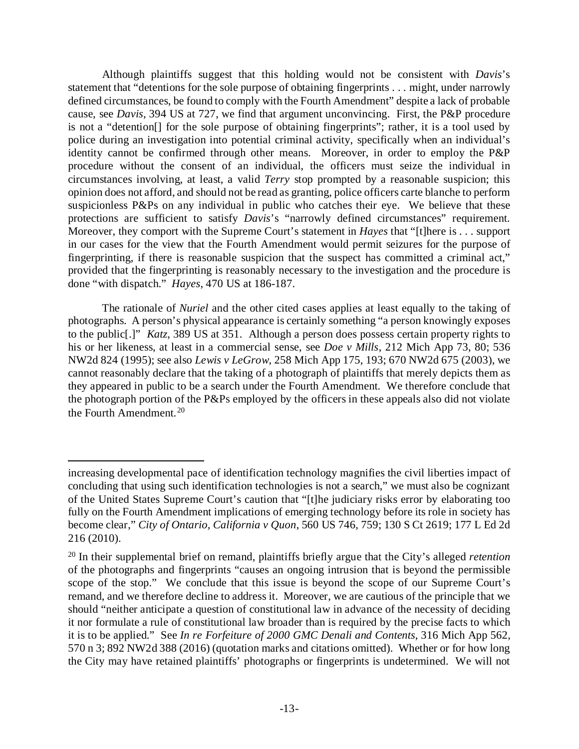Although plaintiffs suggest that this holding would not be consistent with *Davis*'s statement that "detentions for the sole purpose of obtaining fingerprints . . . might, under narrowly defined circumstances, be found to comply with the Fourth Amendment" despite a lack of probable cause, see *Davis*, 394 US at 727, we find that argument unconvincing. First, the P&P procedure is not a "detention[] for the sole purpose of obtaining fingerprints"; rather, it is a tool used by police during an investigation into potential criminal activity, specifically when an individual's identity cannot be confirmed through other means. Moreover, in order to employ the P&P procedure without the consent of an individual, the officers must seize the individual in circumstances involving, at least, a valid *Terry* stop prompted by a reasonable suspicion; this opinion does not afford, and should not be read as granting, police officers carte blanche to perform suspicionless P&Ps on any individual in public who catches their eye. We believe that these protections are sufficient to satisfy *Davis's* "narrowly defined circumstances" requirement. Moreover, they comport with the Supreme Court's statement in *Hayes* that "[t]here is . . . support in our cases for the view that the Fourth Amendment would permit seizures for the purpose of fingerprinting, if there is reasonable suspicion that the suspect has committed a criminal act," provided that the fingerprinting is reasonably necessary to the investigation and the procedure is done "with dispatch." *Hayes*, 470 US at 186-187.

The rationale of *Nuriel* and the other cited cases applies at least equally to the taking of photographs. A person's physical appearance is certainly something "a person knowingly exposes to the public[.]" *Katz*, 389 US at 351. Although a person does possess certain property rights to his or her likeness, at least in a commercial sense, see *Doe v Mills*, 212 Mich App 73, 80; 536 NW2d 824 (1995); see also *Lewis v LeGrow*, 258 Mich App 175, 193; 670 NW2d 675 (2003), we cannot reasonably declare that the taking of a photograph of plaintiffs that merely depicts them as they appeared in public to be a search under the Fourth Amendment. We therefore conclude that the photograph portion of the P&Ps employed by the officers in these appeals also did not violate the Fourth Amendment.[20](#page-12-0)

 $\overline{a}$ 

increasing developmental pace of identification technology magnifies the civil liberties impact of concluding that using such identification technologies is not a search," we must also be cognizant of the United States Supreme Court's caution that "[t]he judiciary risks error by elaborating too fully on the Fourth Amendment implications of emerging technology before its role in society has become clear," *City of Ontario, California v Quon*, 560 US 746, 759; 130 S Ct 2619; 177 L Ed 2d 216 (2010).

<span id="page-12-0"></span><sup>20</sup> In their supplemental brief on remand, plaintiffs briefly argue that the City's alleged *retention*  of the photographs and fingerprints "causes an ongoing intrusion that is beyond the permissible scope of the stop." We conclude that this issue is beyond the scope of our Supreme Court's remand, and we therefore decline to address it. Moreover, we are cautious of the principle that we should "neither anticipate a question of constitutional law in advance of the necessity of deciding it nor formulate a rule of constitutional law broader than is required by the precise facts to which it is to be applied." See *In re Forfeiture of 2000 GMC Denali and Contents*, 316 Mich App 562, 570 n 3; 892 NW2d 388 (2016) (quotation marks and citations omitted). Whether or for how long the City may have retained plaintiffs' photographs or fingerprints is undetermined. We will not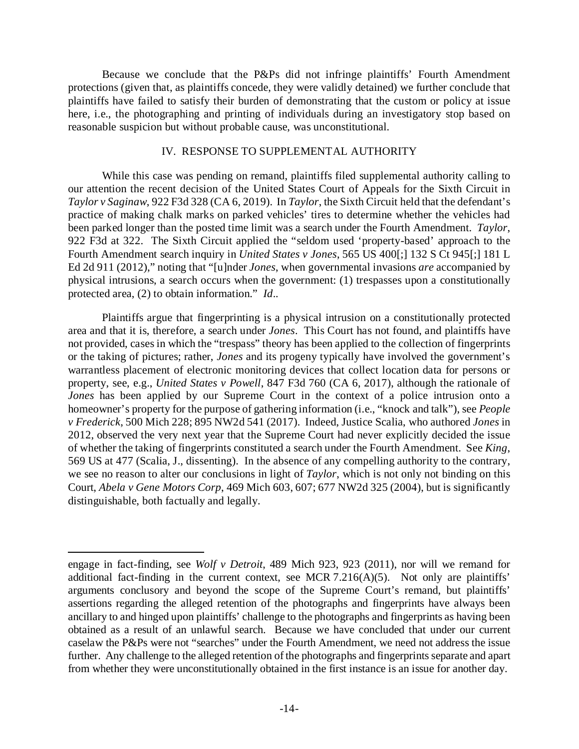Because we conclude that the P&Ps did not infringe plaintiffs' Fourth Amendment protections (given that, as plaintiffs concede, they were validly detained) we further conclude that plaintiffs have failed to satisfy their burden of demonstrating that the custom or policy at issue here, i.e., the photographing and printing of individuals during an investigatory stop based on reasonable suspicion but without probable cause, was unconstitutional.

#### IV. RESPONSE TO SUPPLEMENTAL AUTHORITY

While this case was pending on remand, plaintiffs filed supplemental authority calling to our attention the recent decision of the United States Court of Appeals for the Sixth Circuit in *Taylor v Saginaw*, 922 F3d 328 (CA 6, 2019). In *Taylor*, the Sixth Circuit held that the defendant's practice of making chalk marks on parked vehicles' tires to determine whether the vehicles had been parked longer than the posted time limit was a search under the Fourth Amendment. *Taylor*, 922 F3d at 322. The Sixth Circuit applied the "seldom used 'property-based' approach to the Fourth Amendment search inquiry in *United States v Jones*, 565 US 400[;] 132 S Ct 945[;] 181 L Ed 2d 911 (2012)," noting that "[u]nder *Jones*, when governmental invasions *are* accompanied by physical intrusions, a search occurs when the government: (1) trespasses upon a constitutionally protected area, (2) to obtain information." *Id*..

Plaintiffs argue that fingerprinting is a physical intrusion on a constitutionally protected area and that it is, therefore, a search under *Jones*. This Court has not found, and plaintiffs have not provided, cases in which the "trespass" theory has been applied to the collection of fingerprints or the taking of pictures; rather, *Jones* and its progeny typically have involved the government's warrantless placement of electronic monitoring devices that collect location data for persons or property, see, e.g., *United States v Powell*, 847 F3d 760 (CA 6, 2017), although the rationale of *Jones* has been applied by our Supreme Court in the context of a police intrusion onto a homeowner's property for the purpose of gathering information (i.e., "knock and talk"), see *People v Frederick*, 500 Mich 228; 895 NW2d 541 (2017). Indeed, Justice Scalia, who authored *Jones* in 2012, observed the very next year that the Supreme Court had never explicitly decided the issue of whether the taking of fingerprints constituted a search under the Fourth Amendment. See *King*, 569 US at 477 (Scalia, J., dissenting). In the absence of any compelling authority to the contrary, we see no reason to alter our conclusions in light of *Taylor*, which is not only not binding on this Court, *Abela v Gene Motors Corp*, 469 Mich 603, 607; 677 NW2d 325 (2004), but is significantly distinguishable, both factually and legally.

 $\overline{a}$ 

engage in fact-finding, see *Wolf v Detroit*, 489 Mich 923, 923 (2011), nor will we remand for additional fact-finding in the current context, see MCR 7.216( $A$ )(5). Not only are plaintiffs' arguments conclusory and beyond the scope of the Supreme Court's remand, but plaintiffs' assertions regarding the alleged retention of the photographs and fingerprints have always been ancillary to and hinged upon plaintiffs' challenge to the photographs and fingerprints as having been obtained as a result of an unlawful search. Because we have concluded that under our current caselaw the P&Ps were not "searches" under the Fourth Amendment, we need not address the issue further. Any challenge to the alleged retention of the photographs and fingerprints separate and apart from whether they were unconstitutionally obtained in the first instance is an issue for another day.